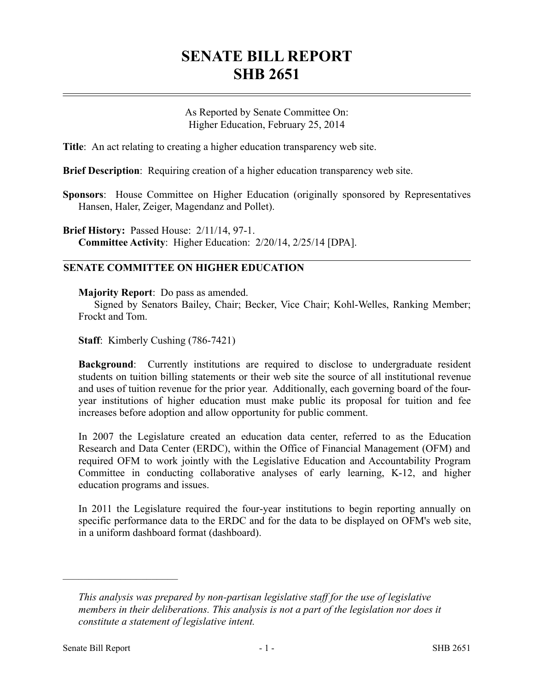## **SENATE BILL REPORT SHB 2651**

As Reported by Senate Committee On: Higher Education, February 25, 2014

**Title**: An act relating to creating a higher education transparency web site.

**Brief Description**: Requiring creation of a higher education transparency web site.

**Sponsors**: House Committee on Higher Education (originally sponsored by Representatives Hansen, Haler, Zeiger, Magendanz and Pollet).

**Brief History:** Passed House: 2/11/14, 97-1. **Committee Activity**: Higher Education: 2/20/14, 2/25/14 [DPA].

## **SENATE COMMITTEE ON HIGHER EDUCATION**

**Majority Report**: Do pass as amended.

Signed by Senators Bailey, Chair; Becker, Vice Chair; Kohl-Welles, Ranking Member; Frockt and Tom.

**Staff**: Kimberly Cushing (786-7421)

**Background**: Currently institutions are required to disclose to undergraduate resident students on tuition billing statements or their web site the source of all institutional revenue and uses of tuition revenue for the prior year. Additionally, each governing board of the fouryear institutions of higher education must make public its proposal for tuition and fee increases before adoption and allow opportunity for public comment.

In 2007 the Legislature created an education data center, referred to as the Education Research and Data Center (ERDC), within the Office of Financial Management (OFM) and required OFM to work jointly with the Legislative Education and Accountability Program Committee in conducting collaborative analyses of early learning, K-12, and higher education programs and issues.

In 2011 the Legislature required the four-year institutions to begin reporting annually on specific performance data to the ERDC and for the data to be displayed on OFM's web site, in a uniform dashboard format (dashboard).

––––––––––––––––––––––

*This analysis was prepared by non-partisan legislative staff for the use of legislative members in their deliberations. This analysis is not a part of the legislation nor does it constitute a statement of legislative intent.*